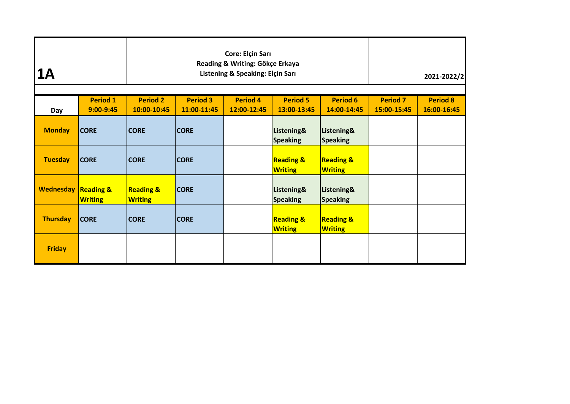| 1A                             |                                  |                                        | Reading & Writing: Gökçe Erkaya<br>Listening & Speaking: Elçin Sarı |                                        | 2021-2022/2                            |  |  |
|--------------------------------|----------------------------------|----------------------------------------|---------------------------------------------------------------------|----------------------------------------|----------------------------------------|--|--|
| Day                            | <b>Period 1</b><br>$9:00 - 9:45$ | <b>Period 2</b><br>10:00-10:45         | <b>Period 3</b><br>11:00-11:45                                      | <b>Period 7</b><br>15:00-15:45         | <b>Period 8</b><br>16:00-16:45         |  |  |
| <b>Monday</b>                  | <b>CORE</b>                      | <b>CORE</b>                            | <b>CORE</b>                                                         | Listening&<br><b>Speaking</b>          | Listening&<br><b>Speaking</b>          |  |  |
| <b>Tuesday</b>                 | <b>CORE</b>                      | <b>CORE</b>                            | <b>CORE</b>                                                         | <b>Reading &amp;</b><br><b>Writing</b> | <b>Reading &amp;</b><br><b>Writing</b> |  |  |
| <b>Wednesday Reading &amp;</b> | <b>Writing</b>                   | <b>Reading &amp;</b><br><b>Writing</b> | <b>CORE</b>                                                         | Listening&<br><b>Speaking</b>          | Listening&<br><b>Speaking</b>          |  |  |
| <b>Thursday</b>                | <b>CORE</b>                      | <b>CORE</b>                            | <b>CORE</b>                                                         | <b>Reading &amp;</b><br><b>Writing</b> | <b>Reading &amp;</b><br><b>Writing</b> |  |  |
| <b>Friday</b>                  |                                  |                                        |                                                                     |                                        |                                        |  |  |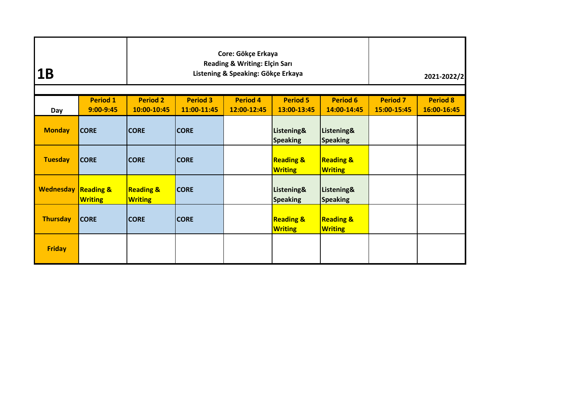| <b>1B</b>                      |                                  |                                        | Core: Gökçe Erkaya<br>Reading & Writing: Elçin Sarı<br>Listening & Speaking: Gökçe Erkaya |                                        | 2021-2022/2                            |  |  |
|--------------------------------|----------------------------------|----------------------------------------|-------------------------------------------------------------------------------------------|----------------------------------------|----------------------------------------|--|--|
| Day                            | <b>Period 1</b><br>$9:00 - 9:45$ | <b>Period 2</b><br>10:00-10:45         | <b>Period 3</b><br>11:00-11:45                                                            | <b>Period 7</b><br>15:00-15:45         | <b>Period 8</b><br>16:00-16:45         |  |  |
| <b>Monday</b>                  | <b>CORE</b>                      | <b>CORE</b>                            | <b>CORE</b>                                                                               | Listening&<br><b>Speaking</b>          | Listening&<br><b>Speaking</b>          |  |  |
| <b>Tuesday</b>                 | <b>CORE</b>                      | <b>CORE</b>                            | <b>CORE</b>                                                                               | <b>Reading &amp;</b><br><b>Writing</b> | <b>Reading &amp;</b><br><b>Writing</b> |  |  |
| <b>Wednesday Reading &amp;</b> | <b>Writing</b>                   | <b>Reading &amp;</b><br><b>Writing</b> | <b>CORE</b>                                                                               | Listening&<br><b>Speaking</b>          | Listening&<br><b>Speaking</b>          |  |  |
| <b>Thursday</b>                | <b>CORE</b>                      | <b>CORE</b>                            | <b>CORE</b>                                                                               | <b>Reading &amp;</b><br><b>Writing</b> | <b>Reading &amp;</b><br><b>Writing</b> |  |  |
| <b>Friday</b>                  |                                  |                                        |                                                                                           |                                        |                                        |  |  |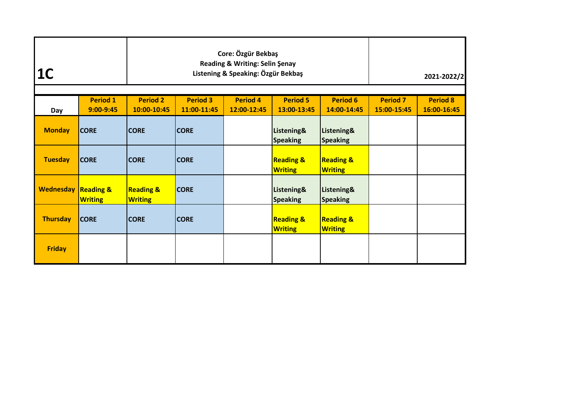| 1 <sup>C</sup>                 |                              |                                        | Core: Özgür Bekbaş<br>Reading & Writing: Selin Şenay<br>Listening & Speaking: Özgür Bekbaş |                                        | 2021-2022/2                            |  |  |
|--------------------------------|------------------------------|----------------------------------------|--------------------------------------------------------------------------------------------|----------------------------------------|----------------------------------------|--|--|
| Day                            | <b>Period 1</b><br>9:00-9:45 | <b>Period 2</b><br>10:00-10:45         | <b>Period 3</b><br>11:00-11:45                                                             | <b>Period 7</b><br>15:00-15:45         | <b>Period 8</b><br>16:00-16:45         |  |  |
| <b>Monday</b>                  | <b>CORE</b>                  | <b>CORE</b>                            | <b>CORE</b>                                                                                | Listening&<br><b>Speaking</b>          | Listening&<br><b>Speaking</b>          |  |  |
| <b>Tuesday</b>                 | <b>CORE</b>                  | <b>CORE</b>                            | <b>CORE</b>                                                                                | <b>Reading &amp;</b><br><b>Writing</b> | <b>Reading &amp;</b><br><b>Writing</b> |  |  |
| <b>Wednesday Reading &amp;</b> | <b>Writing</b>               | <b>Reading &amp;</b><br><b>Writing</b> | <b>CORE</b>                                                                                | Listening&<br><b>Speaking</b>          | Listening&<br><b>Speaking</b>          |  |  |
| <b>Thursday</b>                | <b>CORE</b>                  | <b>CORE</b>                            | <b>CORE</b>                                                                                | <b>Reading &amp;</b><br><b>Writing</b> | <b>Reading &amp;</b><br><b>Writing</b> |  |  |
| <b>Friday</b>                  |                              |                                        |                                                                                            |                                        |                                        |  |  |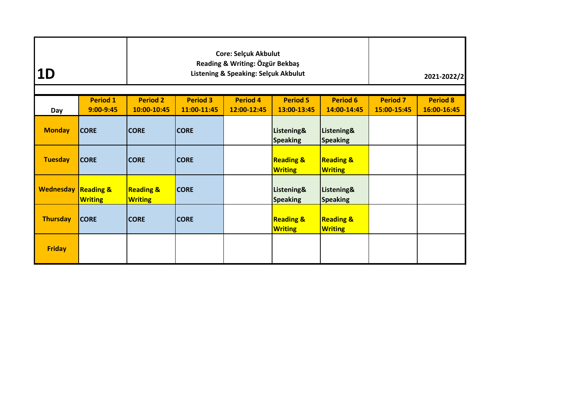| 1D                             |                                  |                                        | <b>Core: Selçuk Akbulut</b><br>Reading & Writing: Özgür Bekbaş<br>Listening & Speaking: Selçuk Akbulut |                                        | 2021-2022/2                            |  |  |
|--------------------------------|----------------------------------|----------------------------------------|--------------------------------------------------------------------------------------------------------|----------------------------------------|----------------------------------------|--|--|
| Day                            | <b>Period 1</b><br>$9:00 - 9:45$ | <b>Period 2</b><br>10:00-10:45         | <b>Period 3</b><br>11:00-11:45                                                                         | <b>Period 7</b><br>15:00-15:45         | <b>Period 8</b><br>16:00-16:45         |  |  |
| <b>Monday</b>                  | <b>CORE</b>                      | <b>CORE</b>                            | <b>CORE</b>                                                                                            | Listening&<br><b>Speaking</b>          | Listening&<br><b>Speaking</b>          |  |  |
| <b>Tuesday</b>                 | <b>CORE</b>                      | <b>CORE</b>                            | <b>CORE</b>                                                                                            | <b>Reading &amp;</b><br><b>Writing</b> | <b>Reading &amp;</b><br><b>Writing</b> |  |  |
| <b>Wednesday Reading &amp;</b> | <b>Writing</b>                   | <b>Reading &amp;</b><br><b>Writing</b> | <b>CORE</b>                                                                                            | Listening&<br><b>Speaking</b>          | Listening&<br><b>Speaking</b>          |  |  |
| <b>Thursday</b>                | <b>CORE</b>                      | <b>CORE</b>                            | <b>CORE</b>                                                                                            | <b>Reading &amp;</b><br><b>Writing</b> | <b>Reading &amp;</b><br><b>Writing</b> |  |  |
| <b>Friday</b>                  |                                  |                                        |                                                                                                        |                                        |                                        |  |  |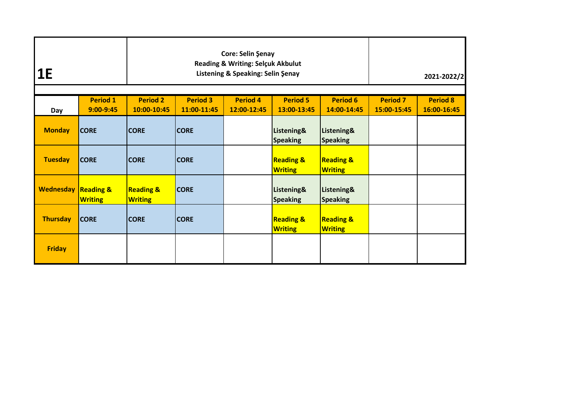| <b>1E</b>        |                                        |                                        | Core: Selin Şenay<br><b>Reading &amp; Writing: Selçuk Akbulut</b><br>Listening & Speaking: Selin Şenay |                                        | 2021-2022/2                            |  |  |
|------------------|----------------------------------------|----------------------------------------|--------------------------------------------------------------------------------------------------------|----------------------------------------|----------------------------------------|--|--|
| Day              | <b>Period 1</b><br>$9:00 - 9:45$       | <b>Period 2</b><br>10:00-10:45         | <b>Period 3</b><br>11:00-11:45                                                                         | <b>Period 7</b><br>15:00-15:45         | <b>Period 8</b><br>16:00-16:45         |  |  |
| <b>Monday</b>    | <b>CORE</b>                            | <b>CORE</b>                            | <b>CORE</b>                                                                                            | Listening&<br><b>Speaking</b>          | Listening&<br><b>Speaking</b>          |  |  |
| <b>Tuesday</b>   | <b>CORE</b>                            | <b>CORE</b>                            | <b>CORE</b>                                                                                            | <b>Reading &amp;</b><br><b>Writing</b> | <b>Reading &amp;</b><br><b>Writing</b> |  |  |
| <b>Wednesday</b> | <b>Reading &amp;</b><br><b>Writing</b> | <b>Reading &amp;</b><br><b>Writing</b> | <b>CORE</b>                                                                                            | Listening&<br><b>Speaking</b>          | Listening&<br><b>Speaking</b>          |  |  |
| <b>Thursday</b>  | <b>CORE</b>                            | <b>CORE</b>                            | <b>CORE</b>                                                                                            | <b>Reading &amp;</b><br><b>Writing</b> | <b>Reading &amp;</b><br><b>Writing</b> |  |  |
| <b>Friday</b>    |                                        |                                        |                                                                                                        |                                        |                                        |  |  |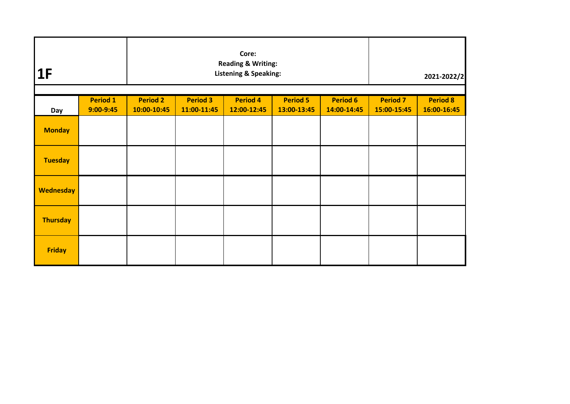| 1F                          |                 |                 |                 | Core:<br><b>Reading &amp; Writing:</b><br><b>Listening &amp; Speaking:</b> |                 |                 | 2021-2022/2<br><b>Period 7</b><br><b>Period 8</b><br>15:00-15:45<br>16:00-16:45 |  |
|-----------------------------|-----------------|-----------------|-----------------|----------------------------------------------------------------------------|-----------------|-----------------|---------------------------------------------------------------------------------|--|
|                             | <b>Period 1</b> | <b>Period 2</b> | <b>Period 3</b> | <b>Period 4</b>                                                            | <b>Period 5</b> | <b>Period 6</b> |                                                                                 |  |
| <b>Day</b><br><b>Monday</b> | $9:00 - 9:45$   | 10:00-10:45     | 11:00-11:45     | 12:00-12:45                                                                | 13:00-13:45     | 14:00-14:45     |                                                                                 |  |
| <b>Tuesday</b>              |                 |                 |                 |                                                                            |                 |                 |                                                                                 |  |
| <b>Wednesday</b>            |                 |                 |                 |                                                                            |                 |                 |                                                                                 |  |
| <b>Thursday</b>             |                 |                 |                 |                                                                            |                 |                 |                                                                                 |  |
| <b>Friday</b>               |                 |                 |                 |                                                                            |                 |                 |                                                                                 |  |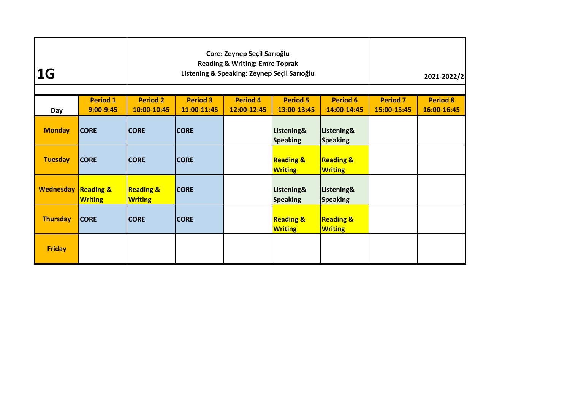| 1G                             |                              |                                        | Core: Zeynep Seçil Sarıoğlu<br><b>Reading &amp; Writing: Emre Toprak</b><br>Listening & Speaking: Zeynep Seçil Sarıoğlu |                                        | 2021-2022/2                            |  |  |
|--------------------------------|------------------------------|----------------------------------------|-------------------------------------------------------------------------------------------------------------------------|----------------------------------------|----------------------------------------|--|--|
| Day                            | <b>Period 1</b><br>9:00-9:45 | <b>Period 2</b><br>10:00-10:45         | <b>Period 3</b><br>11:00-11:45                                                                                          | <b>Period 7</b><br>15:00-15:45         | <b>Period 8</b><br>16:00-16:45         |  |  |
| <b>Monday</b>                  | <b>CORE</b>                  | <b>CORE</b>                            | <b>CORE</b>                                                                                                             | Listening&<br><b>Speaking</b>          | Listening&<br><b>Speaking</b>          |  |  |
| <b>Tuesday</b>                 | <b>CORE</b>                  | <b>CORE</b>                            | <b>CORE</b>                                                                                                             | <b>Reading &amp;</b><br><b>Writing</b> | <b>Reading &amp;</b><br><b>Writing</b> |  |  |
| <b>Wednesday Reading &amp;</b> | <b>Writing</b>               | <b>Reading &amp;</b><br><b>Writing</b> | <b>CORE</b>                                                                                                             | Listening&<br><b>Speaking</b>          | Listening&<br><b>Speaking</b>          |  |  |
| <b>Thursday</b>                | <b>CORE</b>                  | <b>CORE</b>                            | <b>CORE</b>                                                                                                             | <b>Reading &amp;</b><br><b>Writing</b> | <b>Reading &amp;</b><br><b>Writing</b> |  |  |
| <b>Friday</b>                  |                              |                                        |                                                                                                                         |                                        |                                        |  |  |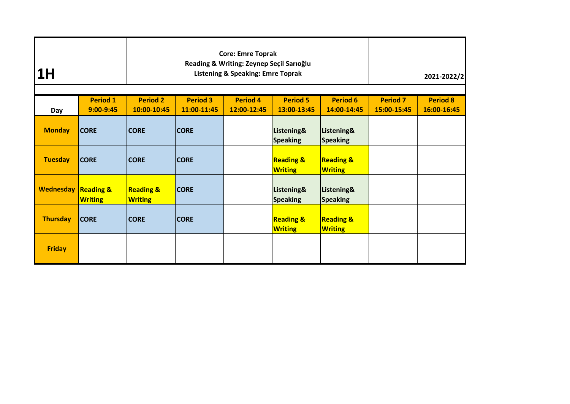| 1 <sub>H</sub>                 |                                  |                                        | <b>Core: Emre Toprak</b><br>Reading & Writing: Zeynep Seçil Sarıoğlu<br><b>Listening &amp; Speaking: Emre Toprak</b> |                                        | 2021-2022/2                            |  |  |
|--------------------------------|----------------------------------|----------------------------------------|----------------------------------------------------------------------------------------------------------------------|----------------------------------------|----------------------------------------|--|--|
| Day                            | <b>Period 1</b><br>$9:00 - 9:45$ | <b>Period 2</b><br>10:00-10:45         | <b>Period 3</b><br>11:00-11:45                                                                                       | <b>Period 7</b><br>15:00-15:45         | <b>Period 8</b><br>16:00-16:45         |  |  |
| <b>Monday</b>                  | <b>CORE</b>                      | <b>CORE</b>                            | <b>CORE</b>                                                                                                          | Listening&<br><b>Speaking</b>          | Listening&<br><b>Speaking</b>          |  |  |
| <b>Tuesday</b>                 | <b>CORE</b>                      | <b>CORE</b>                            | <b>CORE</b>                                                                                                          | <b>Reading &amp;</b><br><b>Writing</b> | <b>Reading &amp;</b><br><b>Writing</b> |  |  |
| <b>Wednesday Reading &amp;</b> | <b>Writing</b>                   | <b>Reading &amp;</b><br><b>Writing</b> | <b>CORE</b>                                                                                                          | Listening&<br><b>Speaking</b>          | Listening&<br><b>Speaking</b>          |  |  |
| <b>Thursday</b>                | <b>CORE</b>                      | <b>CORE</b>                            | <b>CORE</b>                                                                                                          | <b>Reading &amp;</b><br><b>Writing</b> | <b>Reading &amp;</b><br><b>Writing</b> |  |  |
| <b>Friday</b>                  |                                  |                                        |                                                                                                                      |                                        |                                        |  |  |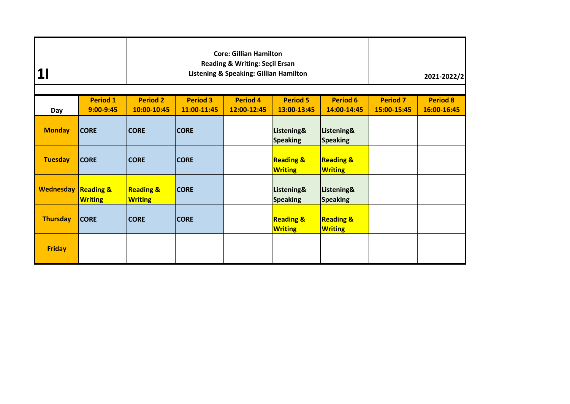|                                |                                  |                                        | <b>Core: Gillian Hamilton</b><br>Reading & Writing: Seçil Ersan<br>Listening & Speaking: Gillian Hamilton |                                        | 2021-2022/2                            |  |  |
|--------------------------------|----------------------------------|----------------------------------------|-----------------------------------------------------------------------------------------------------------|----------------------------------------|----------------------------------------|--|--|
| Day                            | <b>Period 1</b><br>$9:00 - 9:45$ | <b>Period 2</b><br>10:00-10:45         | <b>Period 3</b><br>11:00-11:45                                                                            | <b>Period 7</b><br>15:00-15:45         | <b>Period 8</b><br>16:00-16:45         |  |  |
| <b>Monday</b>                  | <b>CORE</b>                      | <b>CORE</b>                            | <b>CORE</b>                                                                                               | Listening&<br><b>Speaking</b>          | Listening&<br><b>Speaking</b>          |  |  |
| <b>Tuesday</b>                 | <b>CORE</b>                      | <b>CORE</b>                            | <b>CORE</b>                                                                                               | <b>Reading &amp;</b><br><b>Writing</b> | <b>Reading &amp;</b><br><b>Writing</b> |  |  |
| <b>Wednesday Reading &amp;</b> | <b>Writing</b>                   | <b>Reading &amp;</b><br><b>Writing</b> | <b>CORE</b>                                                                                               | Listening&<br><b>Speaking</b>          | Listening&<br><b>Speaking</b>          |  |  |
| <b>Thursday</b>                | <b>CORE</b>                      | <b>CORE</b>                            | <b>CORE</b>                                                                                               | <b>Reading &amp;</b><br><b>Writing</b> | <b>Reading &amp;</b><br><b>Writing</b> |  |  |
| <b>Friday</b>                  |                                  |                                        |                                                                                                           |                                        |                                        |  |  |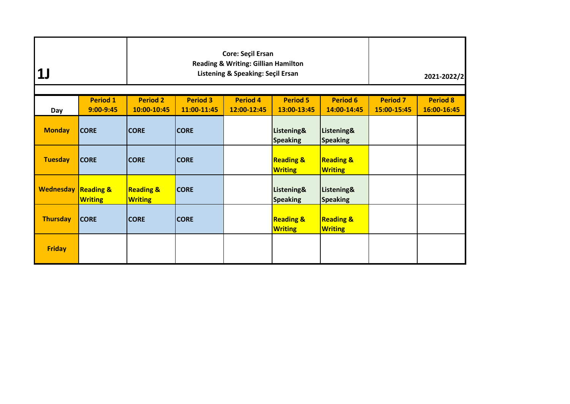| <b>1J</b>                      |                                  |                                        | <b>Core: Seçil Ersan</b><br><b>Reading &amp; Writing: Gillian Hamilton</b><br>Listening & Speaking: Seçil Ersan |                                        | 2021-2022/2                            |  |  |
|--------------------------------|----------------------------------|----------------------------------------|-----------------------------------------------------------------------------------------------------------------|----------------------------------------|----------------------------------------|--|--|
| Day                            | <b>Period 1</b><br>$9:00 - 9:45$ | <b>Period 2</b><br>10:00-10:45         | <b>Period 3</b><br>11:00-11:45                                                                                  | <b>Period 7</b><br>15:00-15:45         | <b>Period 8</b><br>16:00-16:45         |  |  |
| <b>Monday</b>                  | <b>CORE</b>                      | <b>CORE</b>                            | <b>CORE</b>                                                                                                     | Listening&<br><b>Speaking</b>          | Listening&<br><b>Speaking</b>          |  |  |
| <b>Tuesday</b>                 | <b>CORE</b>                      | <b>CORE</b>                            | <b>CORE</b>                                                                                                     | <b>Reading &amp;</b><br><b>Writing</b> | <b>Reading &amp;</b><br><b>Writing</b> |  |  |
| <b>Wednesday Reading &amp;</b> | <b>Writing</b>                   | <b>Reading &amp;</b><br><b>Writing</b> | <b>CORE</b>                                                                                                     | Listening&<br><b>Speaking</b>          | Listening&<br><b>Speaking</b>          |  |  |
| <b>Thursday</b>                | <b>CORE</b>                      | <b>CORE</b>                            | <b>CORE</b>                                                                                                     | <b>Reading &amp;</b><br><b>Writing</b> | <b>Reading &amp;</b><br><b>Writing</b> |  |  |
| <b>Friday</b>                  |                                  |                                        |                                                                                                                 |                                        |                                        |  |  |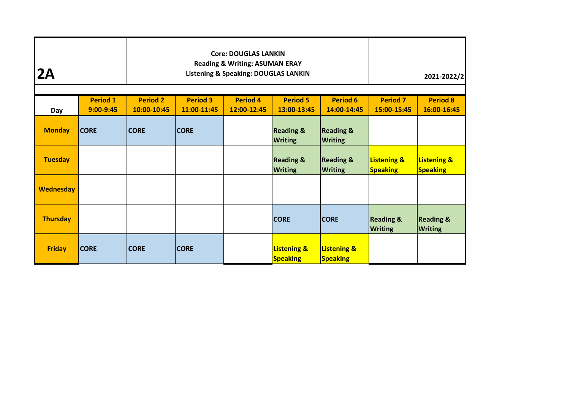| <b>Core: DOUGLAS LANKIN</b><br><b>Reading &amp; Writing: ASUMAN ERAY</b><br><b>2A</b><br><b>Listening &amp; Speaking: DOUGLAS LANKIN</b> |                              |                                |                                |                                |                                           |                                           |                                           | 2021-2022/2                               |
|------------------------------------------------------------------------------------------------------------------------------------------|------------------------------|--------------------------------|--------------------------------|--------------------------------|-------------------------------------------|-------------------------------------------|-------------------------------------------|-------------------------------------------|
| Day                                                                                                                                      | <b>Period 1</b><br>9:00-9:45 | <b>Period 2</b><br>10:00-10:45 | <b>Period 3</b><br>11:00-11:45 | <b>Period 7</b><br>15:00-15:45 | <b>Period 8</b><br>16:00-16:45            |                                           |                                           |                                           |
| <b>Monday</b>                                                                                                                            | <b>CORE</b>                  | <b>CORE</b>                    | <b>CORE</b>                    |                                | <b>Reading &amp;</b><br><b>Writing</b>    | <b>Reading &amp;</b><br><b>Writing</b>    |                                           |                                           |
| <b>Tuesday</b>                                                                                                                           |                              |                                |                                |                                | <b>Reading &amp;</b><br><b>Writing</b>    | <b>Reading &amp;</b><br><b>Writing</b>    | <b>Listening &amp;</b><br><b>Speaking</b> | <b>Listening &amp;</b><br><b>Speaking</b> |
| <b>Wednesday</b>                                                                                                                         |                              |                                |                                |                                |                                           |                                           |                                           |                                           |
| <b>Thursday</b>                                                                                                                          |                              |                                |                                |                                | <b>CORE</b>                               | <b>CORE</b>                               | <b>Reading &amp;</b><br><b>Writing</b>    | <b>Reading &amp;</b><br><b>Writing</b>    |
| <b>Friday</b>                                                                                                                            | <b>CORE</b>                  | <b>CORE</b>                    | <b>CORE</b>                    |                                | <b>Listening &amp;</b><br><b>Speaking</b> | <b>Listening &amp;</b><br><b>Speaking</b> |                                           |                                           |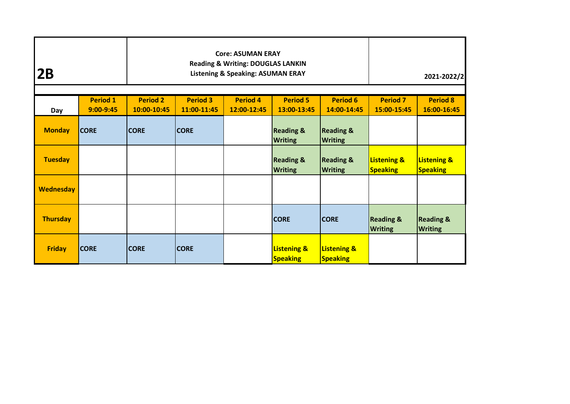| <b>Core: ASUMAN ERAY</b><br><b>Reading &amp; Writing: DOUGLAS LANKIN</b><br>2B<br><b>Listening &amp; Speaking: ASUMAN ERAY</b> |                                  |                                |                                |                                |                                           |                                           |                                           | 2021-2022/2                               |
|--------------------------------------------------------------------------------------------------------------------------------|----------------------------------|--------------------------------|--------------------------------|--------------------------------|-------------------------------------------|-------------------------------------------|-------------------------------------------|-------------------------------------------|
| Day                                                                                                                            | <b>Period 1</b><br>$9:00 - 9:45$ | <b>Period 2</b><br>10:00-10:45 | <b>Period 3</b><br>11:00-11:45 | <b>Period 7</b><br>15:00-15:45 | <b>Period 8</b><br>16:00-16:45            |                                           |                                           |                                           |
| <b>Monday</b>                                                                                                                  | <b>CORE</b>                      | <b>CORE</b>                    | <b>CORE</b>                    |                                | <b>Reading &amp;</b><br><b>Writing</b>    | <b>Reading &amp;</b><br><b>Writing</b>    |                                           |                                           |
| <b>Tuesday</b>                                                                                                                 |                                  |                                |                                |                                | <b>Reading &amp;</b><br><b>Writing</b>    | <b>Reading &amp;</b><br><b>Writing</b>    | <b>Listening &amp;</b><br><b>Speaking</b> | <b>Listening &amp;</b><br><b>Speaking</b> |
| <b>Wednesday</b>                                                                                                               |                                  |                                |                                |                                |                                           |                                           |                                           |                                           |
| <b>Thursday</b>                                                                                                                |                                  |                                |                                |                                | <b>CORE</b>                               | <b>CORE</b>                               | <b>Reading &amp;</b><br><b>Writing</b>    | <b>Reading &amp;</b><br><b>Writing</b>    |
| <b>Friday</b>                                                                                                                  | <b>CORE</b>                      | <b>CORE</b>                    | <b>CORE</b>                    |                                | <b>Listening &amp;</b><br><b>Speaking</b> | <b>Listening &amp;</b><br><b>Speaking</b> |                                           |                                           |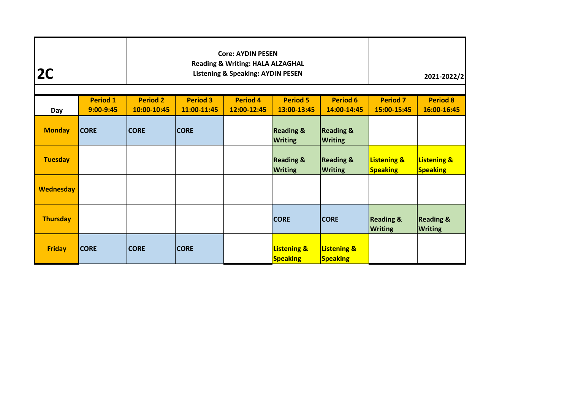| 2C               |                              |                                | <b>Core: AYDIN PESEN</b><br><b>Reading &amp; Writing: HALA ALZAGHAL</b><br><b>Listening &amp; Speaking: AYDIN PESEN</b>              |  | 2021-2022/2                               |                                           |                                           |                                           |
|------------------|------------------------------|--------------------------------|--------------------------------------------------------------------------------------------------------------------------------------|--|-------------------------------------------|-------------------------------------------|-------------------------------------------|-------------------------------------------|
| Day              | <b>Period 1</b><br>9:00-9:45 | <b>Period 2</b><br>10:00-10:45 | <b>Period 3</b><br><b>Period 5</b><br><b>Period 6</b><br><b>Period 4</b><br>11:00-11:45<br>12:00-12:45<br>13:00-13:45<br>14:00-14:45 |  |                                           |                                           |                                           | <b>Period 8</b><br>16:00-16:45            |
| <b>Monday</b>    | <b>CORE</b>                  | <b>CORE</b>                    | <b>CORE</b>                                                                                                                          |  | <b>Reading &amp;</b><br><b>Writing</b>    | <b>Reading &amp;</b><br><b>Writing</b>    |                                           |                                           |
| <b>Tuesday</b>   |                              |                                |                                                                                                                                      |  | <b>Reading &amp;</b><br><b>Writing</b>    | <b>Reading &amp;</b><br><b>Writing</b>    | <b>Listening &amp;</b><br><b>Speaking</b> | <b>Listening &amp;</b><br><b>Speaking</b> |
| <b>Wednesday</b> |                              |                                |                                                                                                                                      |  |                                           |                                           |                                           |                                           |
| <b>Thursday</b>  |                              |                                |                                                                                                                                      |  | <b>CORE</b>                               | <b>CORE</b>                               | <b>Reading &amp;</b><br><b>Writing</b>    | <b>Reading &amp;</b><br><b>Writing</b>    |
| <b>Friday</b>    | <b>CORE</b>                  | <b>CORE</b>                    | <b>CORE</b>                                                                                                                          |  | <b>Listening &amp;</b><br><b>Speaking</b> | <b>Listening &amp;</b><br><b>Speaking</b> |                                           |                                           |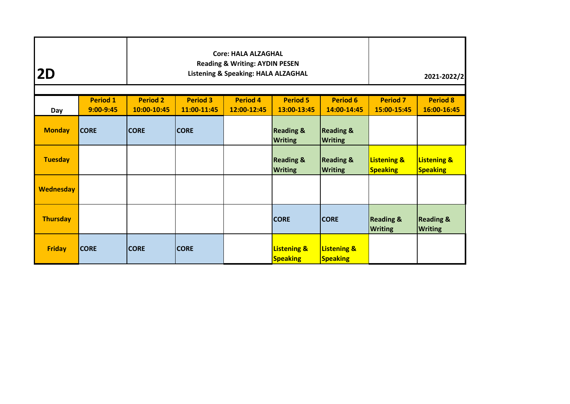| 2D               |                                |                                | <b>Core: HALA ALZAGHAL</b><br><b>Reading &amp; Writing: AYDIN PESEN</b><br>Listening & Speaking: HALA ALZAGHAL                       |  | 2021-2022/2                               |                                           |                                           |                                           |
|------------------|--------------------------------|--------------------------------|--------------------------------------------------------------------------------------------------------------------------------------|--|-------------------------------------------|-------------------------------------------|-------------------------------------------|-------------------------------------------|
| Day              | <b>Period 1</b><br>$9:00-9:45$ | <b>Period 2</b><br>10:00-10:45 | <b>Period 3</b><br><b>Period 5</b><br><b>Period 6</b><br><b>Period 4</b><br>11:00-11:45<br>12:00-12:45<br>13:00-13:45<br>14:00-14:45 |  |                                           |                                           |                                           | <b>Period 8</b><br>16:00-16:45            |
| <b>Monday</b>    | <b>CORE</b>                    | <b>CORE</b>                    | <b>CORE</b>                                                                                                                          |  | <b>Reading &amp;</b><br><b>Writing</b>    | <b>Reading &amp;</b><br><b>Writing</b>    |                                           |                                           |
| <b>Tuesday</b>   |                                |                                |                                                                                                                                      |  | <b>Reading &amp;</b><br><b>Writing</b>    | <b>Reading &amp;</b><br><b>Writing</b>    | <b>Listening &amp;</b><br><b>Speaking</b> | <b>Listening &amp;</b><br><b>Speaking</b> |
| <b>Wednesday</b> |                                |                                |                                                                                                                                      |  |                                           |                                           |                                           |                                           |
| <b>Thursday</b>  |                                |                                |                                                                                                                                      |  | <b>CORE</b>                               | <b>CORE</b>                               | <b>Reading &amp;</b><br><b>Writing</b>    | <b>Reading &amp;</b><br><b>Writing</b>    |
| <b>Friday</b>    | <b>CORE</b>                    | <b>CORE</b>                    | <b>CORE</b>                                                                                                                          |  | <b>Listening &amp;</b><br><b>Speaking</b> | <b>Listening &amp;</b><br><b>Speaking</b> |                                           |                                           |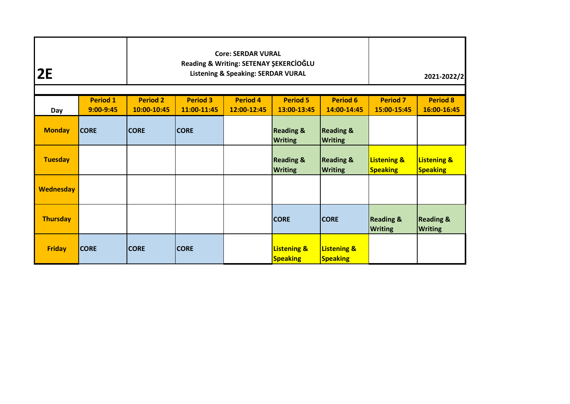| <b>Core: SERDAR VURAL</b><br>Reading & Writing: SETENAY ŞEKERCİOĞLU<br>2E<br><b>Listening &amp; Speaking: SERDAR VURAL</b> |                                  |                                |                                |                                |                                           |                                           |                                           | 2021-2022/2                               |
|----------------------------------------------------------------------------------------------------------------------------|----------------------------------|--------------------------------|--------------------------------|--------------------------------|-------------------------------------------|-------------------------------------------|-------------------------------------------|-------------------------------------------|
| Day                                                                                                                        | <b>Period 1</b><br>$9:00 - 9:45$ | <b>Period 2</b><br>10:00-10:45 | <b>Period 3</b><br>11:00-11:45 | <b>Period 7</b><br>15:00-15:45 | <b>Period 8</b><br>16:00-16:45            |                                           |                                           |                                           |
| <b>Monday</b>                                                                                                              | <b>CORE</b>                      | <b>CORE</b>                    | <b>CORE</b>                    |                                | <b>Reading &amp;</b><br><b>Writing</b>    | <b>Reading &amp;</b><br><b>Writing</b>    |                                           |                                           |
| <b>Tuesday</b>                                                                                                             |                                  |                                |                                |                                | <b>Reading &amp;</b><br><b>Writing</b>    | <b>Reading &amp;</b><br><b>Writing</b>    | <b>Listening &amp;</b><br><b>Speaking</b> | <b>Listening &amp;</b><br><b>Speaking</b> |
| <b>Wednesday</b>                                                                                                           |                                  |                                |                                |                                |                                           |                                           |                                           |                                           |
| <b>Thursday</b>                                                                                                            |                                  |                                |                                |                                | <b>CORE</b>                               | <b>CORE</b>                               | <b>Reading &amp;</b><br><b>Writing</b>    | <b>Reading &amp;</b><br><b>Writing</b>    |
| <b>Friday</b>                                                                                                              | <b>CORE</b>                      | <b>CORE</b>                    | <b>CORE</b>                    |                                | <b>Listening &amp;</b><br><b>Speaking</b> | <b>Listening &amp;</b><br><b>Speaking</b> |                                           |                                           |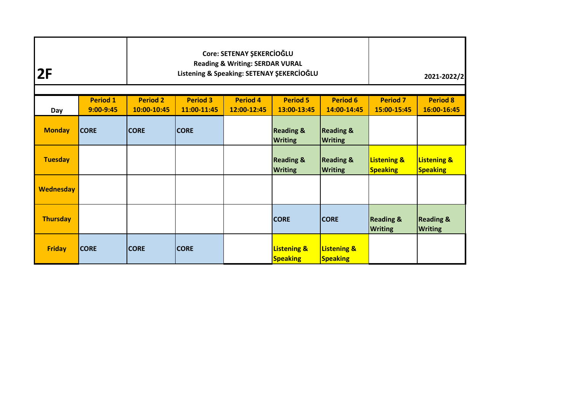| Core: SETENAY ŞEKERCİOĞLU<br><b>Reading &amp; Writing: SERDAR VURAL</b><br>2F<br>Listening & Speaking: SETENAY ŞEKERCİOĞLU |                                  |                                |                                |                                |                                           |                                           |                                           | 2021-2022/2                               |
|----------------------------------------------------------------------------------------------------------------------------|----------------------------------|--------------------------------|--------------------------------|--------------------------------|-------------------------------------------|-------------------------------------------|-------------------------------------------|-------------------------------------------|
| Day                                                                                                                        | <b>Period 1</b><br>$9:00 - 9:45$ | <b>Period 2</b><br>10:00-10:45 | <b>Period 3</b><br>11:00-11:45 | <b>Period 7</b><br>15:00-15:45 | <b>Period 8</b><br>16:00-16:45            |                                           |                                           |                                           |
| <b>Monday</b>                                                                                                              | <b>CORE</b>                      | <b>CORE</b>                    | <b>CORE</b>                    |                                | <b>Reading &amp;</b><br><b>Writing</b>    | <b>Reading &amp;</b><br><b>Writing</b>    |                                           |                                           |
| <b>Tuesday</b>                                                                                                             |                                  |                                |                                |                                | <b>Reading &amp;</b><br><b>Writing</b>    | <b>Reading &amp;</b><br><b>Writing</b>    | <b>Listening &amp;</b><br><b>Speaking</b> | <b>Listening &amp;</b><br><b>Speaking</b> |
| <b>Wednesday</b>                                                                                                           |                                  |                                |                                |                                |                                           |                                           |                                           |                                           |
| <b>Thursday</b>                                                                                                            |                                  |                                |                                |                                | <b>CORE</b>                               | <b>CORE</b>                               | <b>Reading &amp;</b><br><b>Writing</b>    | <b>Reading &amp;</b><br><b>Writing</b>    |
| <b>Friday</b>                                                                                                              | <b>CORE</b>                      | <b>CORE</b>                    | <b>CORE</b>                    |                                | <b>Listening &amp;</b><br><b>Speaking</b> | <b>Listening &amp;</b><br><b>Speaking</b> |                                           |                                           |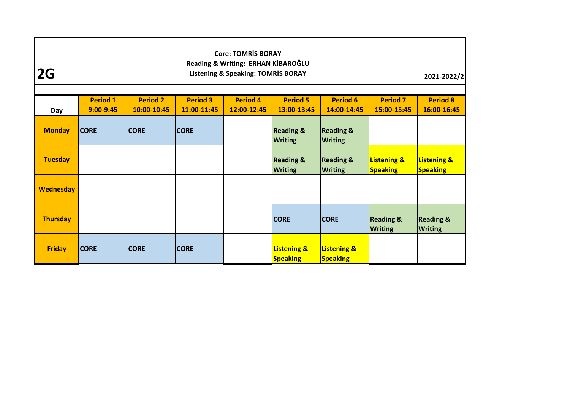| 2G               |                                |                                | <b>Core: TOMRİS BORAY</b><br>Reading & Writing: ERHAN KİBAROĞLU<br><b>Listening &amp; Speaking: TOMRİS BORAY</b> |                                           | 2021-2022/2                               |                                           |                                           |
|------------------|--------------------------------|--------------------------------|------------------------------------------------------------------------------------------------------------------|-------------------------------------------|-------------------------------------------|-------------------------------------------|-------------------------------------------|
| Day              | <b>Period 1</b><br>$9:00-9:45$ | <b>Period 2</b><br>10:00-10:45 | <b>Period 3</b><br>11:00-11:45                                                                                   | <b>Period 7</b><br>15:00-15:45            | <b>Period 8</b><br>16:00-16:45            |                                           |                                           |
| <b>Monday</b>    | <b>CORE</b>                    | <b>CORE</b>                    | <b>CORE</b>                                                                                                      | <b>Reading &amp;</b><br><b>Writing</b>    | <b>Reading &amp;</b><br><b>Writing</b>    |                                           |                                           |
| <b>Tuesday</b>   |                                |                                |                                                                                                                  | <b>Reading &amp;</b><br><b>Writing</b>    | <b>Reading &amp;</b><br><b>Writing</b>    | <b>Listening &amp;</b><br><b>Speaking</b> | <b>Listening &amp;</b><br><b>Speaking</b> |
| <b>Wednesday</b> |                                |                                |                                                                                                                  |                                           |                                           |                                           |                                           |
| <b>Thursday</b>  |                                |                                |                                                                                                                  | <b>CORE</b>                               | <b>CORE</b>                               | <b>Reading &amp;</b><br><b>Writing</b>    | <b>Reading &amp;</b><br><b>Writing</b>    |
| <b>Friday</b>    | <b>CORE</b>                    | <b>CORE</b>                    | <b>CORE</b>                                                                                                      | <b>Listening &amp;</b><br><b>Speaking</b> | <b>Listening &amp;</b><br><b>Speaking</b> |                                           |                                           |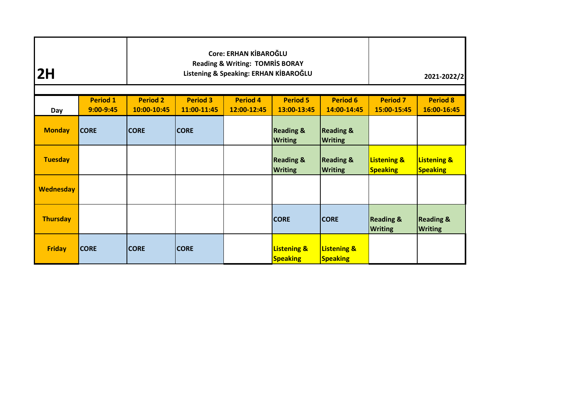| Core: ERHAN KİBAROĞLU<br><b>Reading &amp; Writing: TOMRIS BORAY</b><br>2H<br>Listening & Speaking: ERHAN KİBAROĞLU |                                |                                |                                                                                                                                      |  |                                           |                                           |                                           | 2021-2022/2                               |
|--------------------------------------------------------------------------------------------------------------------|--------------------------------|--------------------------------|--------------------------------------------------------------------------------------------------------------------------------------|--|-------------------------------------------|-------------------------------------------|-------------------------------------------|-------------------------------------------|
| Day                                                                                                                | <b>Period 1</b><br>$9:00-9:45$ | <b>Period 2</b><br>10:00-10:45 | <b>Period 3</b><br><b>Period 4</b><br><b>Period 5</b><br><b>Period 6</b><br>12:00-12:45<br>13:00-13:45<br>14:00-14:45<br>11:00-11:45 |  |                                           |                                           |                                           | <b>Period 8</b><br>16:00-16:45            |
| <b>Monday</b>                                                                                                      | <b>CORE</b>                    | <b>CORE</b>                    | <b>CORE</b>                                                                                                                          |  | <b>Reading &amp;</b><br><b>Writing</b>    | <b>Reading &amp;</b><br><b>Writing</b>    |                                           |                                           |
| <b>Tuesday</b>                                                                                                     |                                |                                |                                                                                                                                      |  | <b>Reading &amp;</b><br><b>Writing</b>    | <b>Reading &amp;</b><br><b>Writing</b>    | <b>Listening &amp;</b><br><b>Speaking</b> | <b>Listening &amp;</b><br><b>Speaking</b> |
| <b>Wednesday</b>                                                                                                   |                                |                                |                                                                                                                                      |  |                                           |                                           |                                           |                                           |
| <b>Thursday</b>                                                                                                    |                                |                                |                                                                                                                                      |  | <b>CORE</b>                               | <b>CORE</b>                               | <b>Reading &amp;</b><br><b>Writing</b>    | <b>Reading &amp;</b><br><b>Writing</b>    |
| <b>Friday</b>                                                                                                      | <b>CORE</b>                    | <b>CORE</b>                    | <b>CORE</b>                                                                                                                          |  | <b>Listening &amp;</b><br><b>Speaking</b> | <b>Listening &amp;</b><br><b>Speaking</b> |                                           |                                           |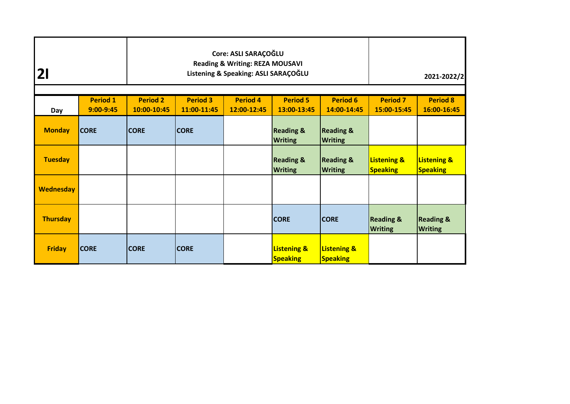| $\mathbf{2}$     | Core: ASLI SARAÇOĞLU<br><b>Reading &amp; Writing: REZA MOUSAVI</b><br>Listening & Speaking: ASLI SARAÇOĞLU |                                |                                                                                                                                      |  |                                           |                                           |                                           | 2021-2022/2                               |
|------------------|------------------------------------------------------------------------------------------------------------|--------------------------------|--------------------------------------------------------------------------------------------------------------------------------------|--|-------------------------------------------|-------------------------------------------|-------------------------------------------|-------------------------------------------|
| Day              | <b>Period 1</b><br>$9:00 - 9:45$                                                                           | <b>Period 2</b><br>10:00-10:45 | <b>Period 3</b><br><b>Period 4</b><br><b>Period 5</b><br><b>Period 6</b><br>11:00-11:45<br>12:00-12:45<br>13:00-13:45<br>14:00-14:45 |  |                                           |                                           |                                           | <b>Period 8</b><br>16:00-16:45            |
| <b>Monday</b>    | <b>CORE</b>                                                                                                | <b>CORE</b>                    | <b>CORE</b>                                                                                                                          |  | <b>Reading &amp;</b><br><b>Writing</b>    | <b>Reading &amp;</b><br><b>Writing</b>    |                                           |                                           |
| <b>Tuesday</b>   |                                                                                                            |                                |                                                                                                                                      |  | <b>Reading &amp;</b><br><b>Writing</b>    | <b>Reading &amp;</b><br><b>Writing</b>    | <b>Listening &amp;</b><br><b>Speaking</b> | <b>Listening &amp;</b><br><b>Speaking</b> |
| <b>Wednesday</b> |                                                                                                            |                                |                                                                                                                                      |  |                                           |                                           |                                           |                                           |
| <b>Thursday</b>  |                                                                                                            |                                |                                                                                                                                      |  | <b>CORE</b>                               | <b>CORE</b>                               | <b>Reading &amp;</b><br><b>Writing</b>    | <b>Reading &amp;</b><br><b>Writing</b>    |
| <b>Friday</b>    | <b>CORE</b>                                                                                                | <b>CORE</b>                    | <b>CORE</b>                                                                                                                          |  | <b>Listening &amp;</b><br><b>Speaking</b> | <b>Listening &amp;</b><br><b>Speaking</b> |                                           |                                           |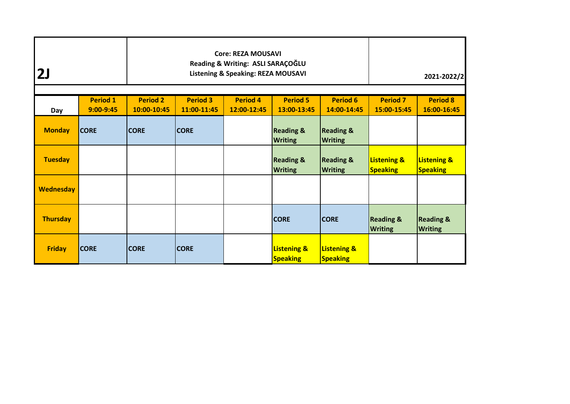| 2J               |                              |                                | <b>Core: REZA MOUSAVI</b><br>Reading & Writing: ASLI SARAÇOĞLU<br><b>Listening &amp; Speaking: REZA MOUSAVI</b> |                                           | 2021-2022/2                               |                                           |                                           |
|------------------|------------------------------|--------------------------------|-----------------------------------------------------------------------------------------------------------------|-------------------------------------------|-------------------------------------------|-------------------------------------------|-------------------------------------------|
| Day              | <b>Period 1</b><br>9:00-9:45 | <b>Period 2</b><br>10:00-10:45 | <b>Period 3</b><br>11:00-11:45                                                                                  | <b>Period 7</b><br>15:00-15:45            | <b>Period 8</b><br>16:00-16:45            |                                           |                                           |
| <b>Monday</b>    | <b>CORE</b>                  | <b>CORE</b>                    | <b>CORE</b>                                                                                                     | <b>Reading &amp;</b><br><b>Writing</b>    | <b>Reading &amp;</b><br><b>Writing</b>    |                                           |                                           |
| <b>Tuesday</b>   |                              |                                |                                                                                                                 | <b>Reading &amp;</b><br><b>Writing</b>    | <b>Reading &amp;</b><br><b>Writing</b>    | <b>Listening &amp;</b><br><b>Speaking</b> | <b>Listening &amp;</b><br><b>Speaking</b> |
| <b>Wednesday</b> |                              |                                |                                                                                                                 |                                           |                                           |                                           |                                           |
| <b>Thursday</b>  |                              |                                |                                                                                                                 | <b>CORE</b>                               | <b>CORE</b>                               | <b>Reading &amp;</b><br><b>Writing</b>    | <b>Reading &amp;</b><br><b>Writing</b>    |
| <b>Friday</b>    | <b>CORE</b>                  | <b>CORE</b>                    | <b>CORE</b>                                                                                                     | <b>Listening &amp;</b><br><b>Speaking</b> | <b>Listening &amp;</b><br><b>Speaking</b> |                                           |                                           |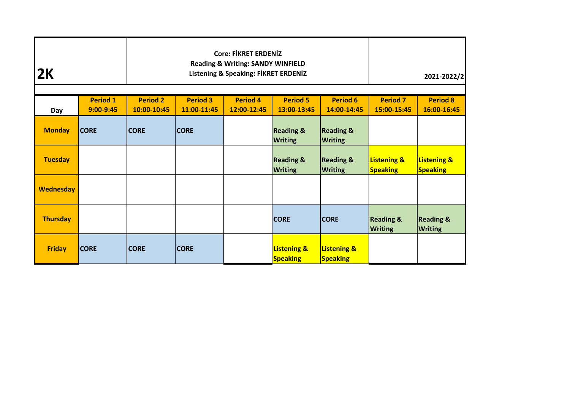| 2K               |                              |                                | <b>Core: FIKRET ERDENIZ</b><br><b>Reading &amp; Writing: SANDY WINFIELD</b><br><b>Listening &amp; Speaking: FİKRET ERDENİZ</b> |                                           | 2021-2022/2                               |                                           |                                           |
|------------------|------------------------------|--------------------------------|--------------------------------------------------------------------------------------------------------------------------------|-------------------------------------------|-------------------------------------------|-------------------------------------------|-------------------------------------------|
| Day              | <b>Period 1</b><br>9:00-9:45 | <b>Period 2</b><br>10:00-10:45 | <b>Period 3</b><br>11:00-11:45                                                                                                 | <b>Period 7</b><br>15:00-15:45            | <b>Period 8</b><br>16:00-16:45            |                                           |                                           |
| <b>Monday</b>    | <b>CORE</b>                  | <b>CORE</b>                    | <b>CORE</b>                                                                                                                    | <b>Reading &amp;</b><br><b>Writing</b>    | <b>Reading &amp;</b><br><b>Writing</b>    |                                           |                                           |
| <b>Tuesday</b>   |                              |                                |                                                                                                                                | <b>Reading &amp;</b><br><b>Writing</b>    | <b>Reading &amp;</b><br><b>Writing</b>    | <b>Listening &amp;</b><br><b>Speaking</b> | <b>Listening &amp;</b><br><b>Speaking</b> |
| <b>Wednesday</b> |                              |                                |                                                                                                                                |                                           |                                           |                                           |                                           |
| <b>Thursday</b>  |                              |                                |                                                                                                                                | <b>CORE</b>                               | <b>CORE</b>                               | <b>Reading &amp;</b><br><b>Writing</b>    | <b>Reading &amp;</b><br><b>Writing</b>    |
| <b>Friday</b>    | <b>CORE</b>                  | <b>CORE</b>                    | <b>CORE</b>                                                                                                                    | <b>Listening &amp;</b><br><b>Speaking</b> | <b>Listening &amp;</b><br><b>Speaking</b> |                                           |                                           |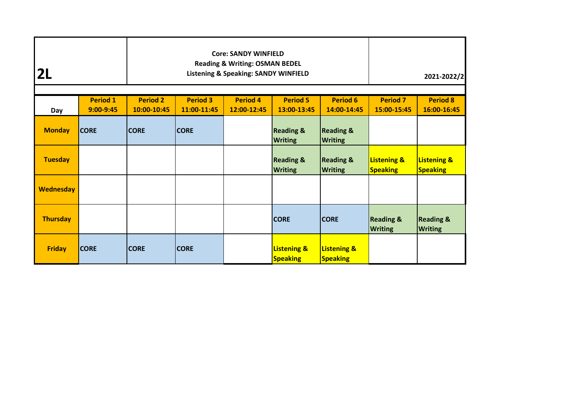| 2 <sub>L</sub>   | <b>Core: SANDY WINFIELD</b><br><b>Reading &amp; Writing: OSMAN BEDEL</b><br><b>Listening &amp; Speaking: SANDY WINFIELD</b> |                                |                                                                                                                                      |  |                                           |                                           |                                           | 2021-2022/2                               |
|------------------|-----------------------------------------------------------------------------------------------------------------------------|--------------------------------|--------------------------------------------------------------------------------------------------------------------------------------|--|-------------------------------------------|-------------------------------------------|-------------------------------------------|-------------------------------------------|
| Day              | <b>Period 1</b><br>9:00-9:45                                                                                                | <b>Period 2</b><br>10:00-10:45 | <b>Period 3</b><br><b>Period 4</b><br><b>Period 5</b><br><b>Period 6</b><br>11:00-11:45<br>12:00-12:45<br>13:00-13:45<br>14:00-14:45 |  |                                           |                                           |                                           | <b>Period 8</b><br>16:00-16:45            |
| <b>Monday</b>    | <b>CORE</b>                                                                                                                 | <b>CORE</b>                    | <b>CORE</b>                                                                                                                          |  | <b>Reading &amp;</b><br><b>Writing</b>    | <b>Reading &amp;</b><br><b>Writing</b>    |                                           |                                           |
| <b>Tuesday</b>   |                                                                                                                             |                                |                                                                                                                                      |  | <b>Reading &amp;</b><br><b>Writing</b>    | <b>Reading &amp;</b><br><b>Writing</b>    | <b>Listening &amp;</b><br><b>Speaking</b> | <b>Listening &amp;</b><br><b>Speaking</b> |
| <b>Wednesday</b> |                                                                                                                             |                                |                                                                                                                                      |  |                                           |                                           |                                           |                                           |
| <b>Thursday</b>  |                                                                                                                             |                                |                                                                                                                                      |  | <b>CORE</b>                               | <b>CORE</b>                               | <b>Reading &amp;</b><br><b>Writing</b>    | <b>Reading &amp;</b><br><b>Writing</b>    |
| <b>Friday</b>    | <b>CORE</b>                                                                                                                 | <b>CORE</b>                    | <b>CORE</b>                                                                                                                          |  | <b>Listening &amp;</b><br><b>Speaking</b> | <b>Listening &amp;</b><br><b>Speaking</b> |                                           |                                           |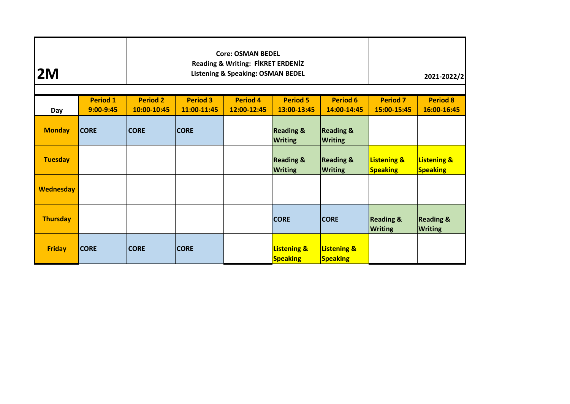| 2M               |                                |                                | <b>Core: OSMAN BEDEL</b><br><b>Reading &amp; Writing: FİKRET ERDENİZ</b><br><b>Listening &amp; Speaking: OSMAN BEDEL</b> | 2021-2022/2                               |                                           |                                           |                                           |
|------------------|--------------------------------|--------------------------------|--------------------------------------------------------------------------------------------------------------------------|-------------------------------------------|-------------------------------------------|-------------------------------------------|-------------------------------------------|
| Day              | <b>Period 1</b><br>$9:00-9:45$ | <b>Period 2</b><br>10:00-10:45 | <b>Period 3</b><br>11:00-11:45                                                                                           | <b>Period 7</b><br>15:00-15:45            | <b>Period 8</b><br>16:00-16:45            |                                           |                                           |
| <b>Monday</b>    | <b>CORE</b>                    | <b>CORE</b>                    | <b>CORE</b>                                                                                                              | <b>Reading &amp;</b><br><b>Writing</b>    | <b>Reading &amp;</b><br><b>Writing</b>    |                                           |                                           |
| <b>Tuesday</b>   |                                |                                |                                                                                                                          | <b>Reading &amp;</b><br><b>Writing</b>    | <b>Reading &amp;</b><br><b>Writing</b>    | <b>Listening &amp;</b><br><b>Speaking</b> | <b>Listening &amp;</b><br><b>Speaking</b> |
| <b>Wednesday</b> |                                |                                |                                                                                                                          |                                           |                                           |                                           |                                           |
| <b>Thursday</b>  |                                |                                |                                                                                                                          | <b>CORE</b>                               | <b>CORE</b>                               | <b>Reading &amp;</b><br><b>Writing</b>    | <b>Reading &amp;</b><br><b>Writing</b>    |
| <b>Friday</b>    | <b>CORE</b>                    | <b>CORE</b>                    | <b>CORE</b>                                                                                                              | <b>Listening &amp;</b><br><b>Speaking</b> | <b>Listening &amp;</b><br><b>Speaking</b> |                                           |                                           |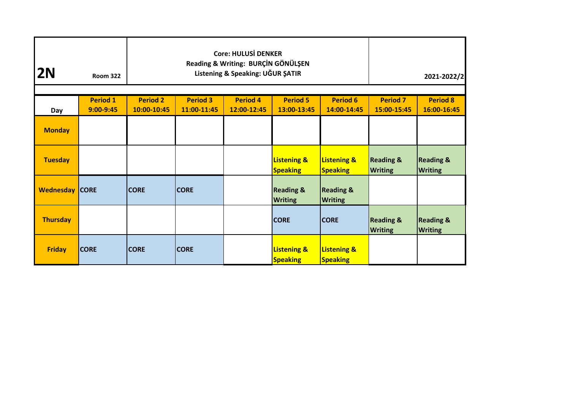| 2N                    | <b>Room 322</b>                |                                | <b>Core: HULUSİ DENKER</b><br>Reading & Writing: BURÇİN GÖNÜLŞEN<br>Listening & Speaking: UĞUR ŞATIR |                                | 2021-2022/2                               |                                           |                                        |                                        |
|-----------------------|--------------------------------|--------------------------------|------------------------------------------------------------------------------------------------------|--------------------------------|-------------------------------------------|-------------------------------------------|----------------------------------------|----------------------------------------|
|                       | <b>Period 1</b><br>$9:00-9:45$ | <b>Period 2</b><br>10:00-10:45 | <b>Period 3</b><br>11:00-11:45                                                                       | <b>Period 7</b><br>15:00-15:45 | <b>Period 8</b><br>16:00-16:45            |                                           |                                        |                                        |
| Day<br><b>Monday</b>  |                                |                                |                                                                                                      | 12:00-12:45                    | 13:00-13:45                               | 14:00-14:45                               |                                        |                                        |
| <b>Tuesday</b>        |                                |                                |                                                                                                      |                                | <b>Listening &amp;</b><br><b>Speaking</b> | <b>Listening &amp;</b><br><b>Speaking</b> | <b>Reading &amp;</b><br><b>Writing</b> | <b>Reading &amp;</b><br><b>Writing</b> |
| <b>Wednesday CORE</b> |                                | <b>CORE</b>                    | <b>CORE</b>                                                                                          |                                | <b>Reading &amp;</b><br><b>Writing</b>    | <b>Reading &amp;</b><br><b>Writing</b>    |                                        |                                        |
| <b>Thursday</b>       |                                |                                |                                                                                                      |                                | <b>CORE</b>                               | <b>CORE</b>                               | <b>Reading &amp;</b><br><b>Writing</b> | <b>Reading &amp;</b><br><b>Writing</b> |
| <b>Friday</b>         | <b>CORE</b>                    | <b>CORE</b>                    | <b>CORE</b>                                                                                          |                                | <b>Listening &amp;</b><br><b>Speaking</b> | <b>Listening &amp;</b><br><b>Speaking</b> |                                        |                                        |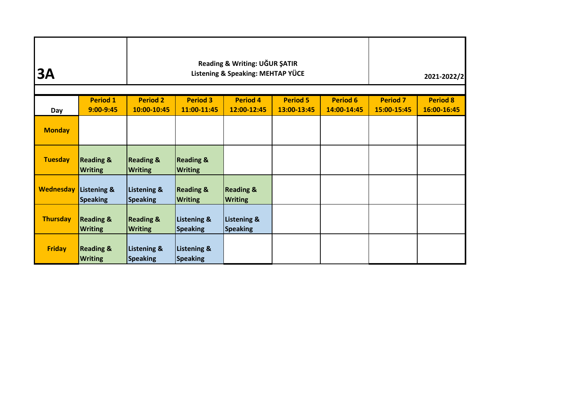| <b>3A</b>        |                                        |                                           | Reading & Writing: UĞUR ŞATIR<br>Listening & Speaking: MEHTAP YÜCE | 2021-2022/2                            |                                |                                |                                |                                |
|------------------|----------------------------------------|-------------------------------------------|--------------------------------------------------------------------|----------------------------------------|--------------------------------|--------------------------------|--------------------------------|--------------------------------|
| Day              | <b>Period 1</b><br>$9:00 - 9:45$       | <b>Period 2</b><br>10:00-10:45            | <b>Period 3</b><br>11:00-11:45                                     | <b>Period 4</b><br>12:00-12:45         | <b>Period 5</b><br>13:00-13:45 | <b>Period 6</b><br>14:00-14:45 | <b>Period 7</b><br>15:00-15:45 | <b>Period 8</b><br>16:00-16:45 |
| <b>Monday</b>    |                                        |                                           |                                                                    |                                        |                                |                                |                                |                                |
| <b>Tuesday</b>   | <b>Reading &amp;</b><br><b>Writing</b> | <b>Reading &amp;</b><br><b>Writing</b>    | <b>Reading &amp;</b><br><b>Writing</b>                             |                                        |                                |                                |                                |                                |
| <b>Wednesday</b> | Listening &<br><b>Speaking</b>         | <b>Listening &amp;</b><br><b>Speaking</b> | <b>Reading &amp;</b><br><b>Writing</b>                             | <b>Reading &amp;</b><br><b>Writing</b> |                                |                                |                                |                                |
| <b>Thursday</b>  | <b>Reading &amp;</b><br><b>Writing</b> | <b>Reading &amp;</b><br><b>Writing</b>    | <b>Listening &amp;</b><br><b>Speaking</b>                          | <b>Listening &amp;</b><br>Speaking     |                                |                                |                                |                                |
| <b>Friday</b>    | <b>Reading &amp;</b><br><b>Writing</b> | Listening &<br><b>Speaking</b>            | Listening &<br>Speaking                                            |                                        |                                |                                |                                |                                |